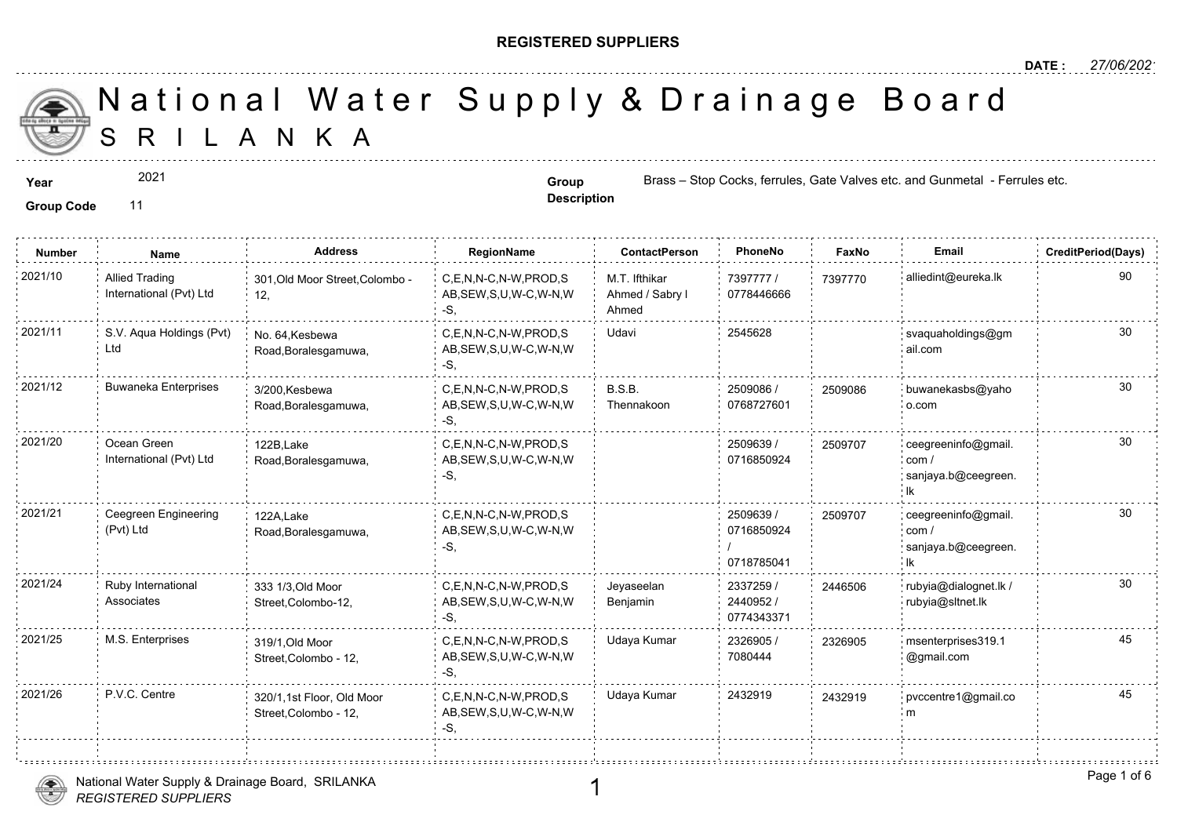#### **REGISTERED SUPPLIERS**

S R I L A N K A National Water Supply & Drainage

#### **Group Code** 11

2021

**Description**

**Year Group Group** Brass – Stop Cocks, ferrules, Gate Values etc. and Gunmetal - Group Brass – Stop Cocks, ferrules, Gate Va

| <b>Number</b> | <b>Name</b>                                      | <b>Address</b>                                     | RegionName                                                | <b>ContactPerson</b>                      | PhoneNo                               | Fax    |
|---------------|--------------------------------------------------|----------------------------------------------------|-----------------------------------------------------------|-------------------------------------------|---------------------------------------|--------|
| 2021/10       | <b>Allied Trading</b><br>International (Pvt) Ltd | 301, Old Moor Street, Colombo -<br>12,             | C,E,N,N-C,N-W,PROD,S<br>AB, SEW, S, U, W-C, W-N, W<br>-S. | M.T. Ifthikar<br>Ahmed / Sabry I<br>Ahmed | 7397777 /<br>0778446666               | 739777 |
| 2021/11       | S.V. Aqua Holdings (Pvt)<br>Ltd                  | No. 64. Kesbewa<br>Road, Boralesgamuwa,            | C.E.N.N-C.N-W.PROD.S<br>AB, SEW, S, U, W-C, W-N, W<br>-S, | Udavi                                     | 2545628                               |        |
| 2021/12       | <b>Buwaneka Enterprises</b>                      | 3/200, Kesbewa<br>Road, Boralesgamuwa,             | C.E.N.N-C.N-W.PROD.S<br>AB, SEW, S, U, W-C, W-N, W<br>-S. | B.S.B.<br>Thennakoon                      | 2509086 /<br>0768727601               | 250908 |
| 2021/20       | Ocean Green<br>International (Pvt) Ltd           | 122B, Lake<br>Road, Boralesgamuwa,                 | C,E,N,N-C,N-W,PROD,S<br>AB, SEW, S, U, W-C, W-N, W<br>-S, |                                           | 2509639 /<br>0716850924               | 250970 |
| 2021/21       | Ceegreen Engineering<br>(Pvt) Ltd                | 122A, Lake<br>Road, Boralesgamuwa,                 | C,E,N,N-C,N-W,PROD,S<br>AB, SEW, S, U, W-C, W-N, W<br>-S, |                                           | 2509639 /<br>0716850924<br>0718785041 | 250970 |
| 2021/24       | Ruby International<br>Associates                 | 333 1/3, Old Moor<br>Street,Colombo-12,            | C,E,N,N-C,N-W,PROD,S<br>AB, SEW, S, U, W-C, W-N, W<br>-S, | Jeyaseelan<br>Benjamin                    | 2337259 /<br>2440952 /<br>0774343371  | 244650 |
| 2021/25       | M.S. Enterprises                                 | 319/1, Old Moor<br>Street, Colombo - 12,           | C.E.N.N-C.N-W.PROD.S<br>AB, SEW, S, U, W-C, W-N, W<br>-S, | Udaya Kumar                               | 2326905 /<br>7080444                  | 232690 |
| 2021/26       | P.V.C. Centre                                    | 320/1,1st Floor, Old Moor<br>Street, Colombo - 12, | C.E.N.N-C.N-W.PROD.S<br>AB, SEW, S, U, W-C, W-N, W<br>-S, | Udaya Kumar                               | 2432919                               | 243291 |



1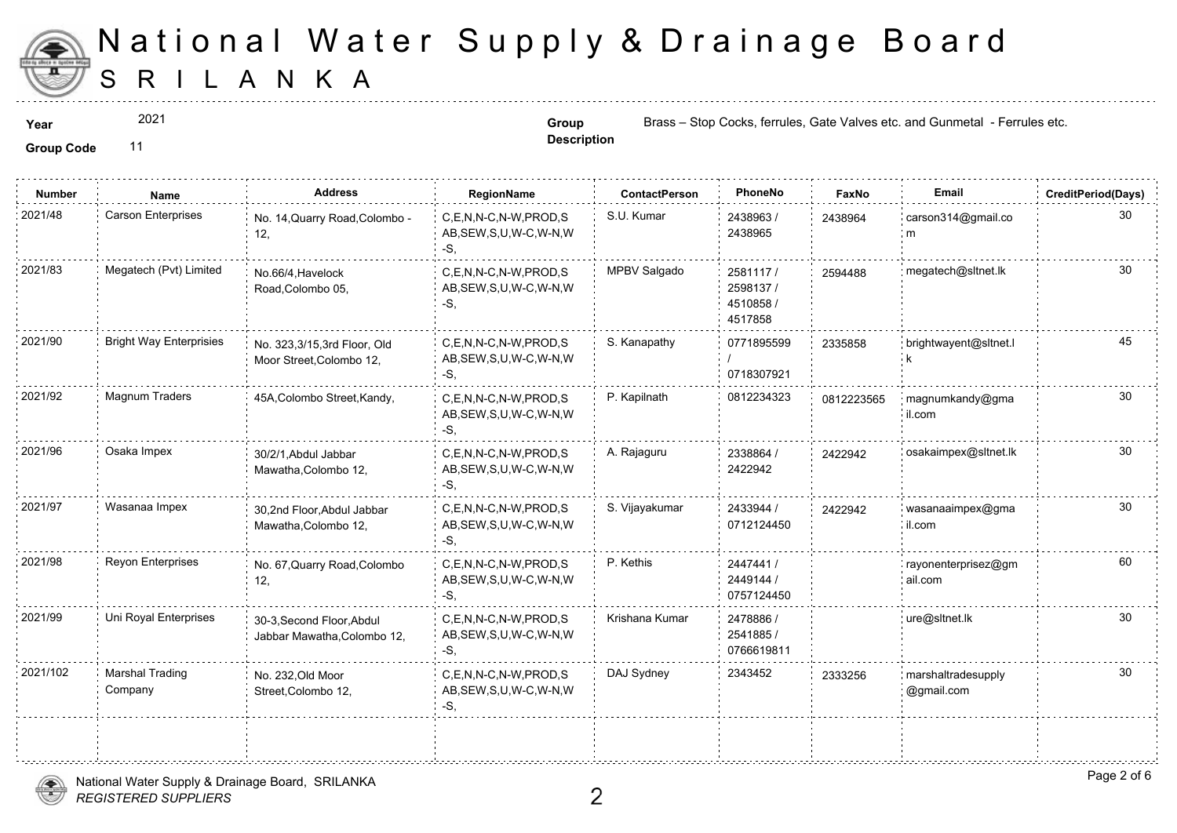

2021

**Description**

**Year Group Group** Brass – Stop Cocks, ferrules, Gate Values etc. and Gunmetal - Group Brass – Stop Cocks, ferrules, Gate Va

| <b>Number</b> | Name                           | <b>Address</b>                                           | RegionName                                                        | <b>ContactPerson</b> | PhoneNo                                      | Fax    |
|---------------|--------------------------------|----------------------------------------------------------|-------------------------------------------------------------------|----------------------|----------------------------------------------|--------|
| 2021/48       | Carson Enterprises             | No. 14, Quarry Road, Colombo -<br>12,                    | C.E.N.N-C.N-W.PROD.S<br>AB, SEW, S, U, W-C, W-N, W<br>$-S$ .      | S.U. Kumar           | 2438963/<br>2438965                          | 243896 |
| 2021/83       | Megatech (Pvt) Limited         | No.66/4, Havelock<br>Road, Colombo 05,                   | C.E.N.N-C.N-W.PROD.S<br>AB, SEW, S, U, W-C, W-N, W<br>-S,         | MPBV Salgado         | 2581117/<br>2598137/<br>4510858 /<br>4517858 | 259448 |
| 2021/90       | <b>Bright Way Enterprisies</b> | No. 323,3/15,3rd Floor, Old<br>Moor Street, Colombo 12,  | C,E,N,N-C,N-W,PROD,S<br>AB, SEW, S, U, W-C, W-N, W<br>$-S$ .      | S. Kanapathy         | 0771895599<br>0718307921                     | 233585 |
| 2021/92       | Magnum Traders                 | 45A, Colombo Street, Kandy,                              | C,E,N,N-C,N-W,PROD,S<br>AB, SEW, S, U, W-C, W-N, W<br>$-S$ .      | P. Kapilnath         | 0812234323                                   | 081222 |
| 2021/96       | Osaka Impex                    | 30/2/1, Abdul Jabbar<br>Mawatha, Colombo 12,             | C.E.N.N-C.N-W.PROD.S<br>AB, SEW, S, U, W-C, W-N, W<br>-S.         | A. Rajaguru          | 2338864 /<br>2422942                         | 242294 |
| 2021/97       | Wasanaa Impex                  | 30,2nd Floor, Abdul Jabbar<br>Mawatha, Colombo 12,       | $C, E, N, N-C, N-W, PROD, S$<br>AB, SEW, S, U, W-C, W-N, W<br>-S. | S. Vijayakumar       | 2433944 /<br>0712124450                      | 242294 |
| 2021/98       | <b>Reyon Enterprises</b>       | No. 67, Quarry Road, Colombo<br>12,                      | C,E,N,N-C,N-W,PROD,S<br>AB, SEW, S, U, W-C, W-N, W<br>-S.         | P. Kethis            | 2447441 /<br>2449144 /<br>0757124450         |        |
| 2021/99       | Uni Royal Enterprises          | 30-3, Second Floor, Abdul<br>Jabbar Mawatha, Colombo 12, | C.E.N.N-C.N-W.PROD.S<br>AB, SEW, S, U, W-C, W-N, W<br>-S,         | Krishana Kumar       | 2478886 /<br>2541885 /<br>0766619811         |        |
| 2021/102      | Marshal Trading<br>Company     | No. 232, Old Moor<br>Street, Colombo 12,                 | C,E,N,N-C,N-W,PROD,S<br>AB, SEW, S, U, W-C, W-N, W<br>$-S,$       | DAJ Sydney           | 2343452                                      | 233325 |
|               |                                |                                                          |                                                                   |                      |                                              |        |

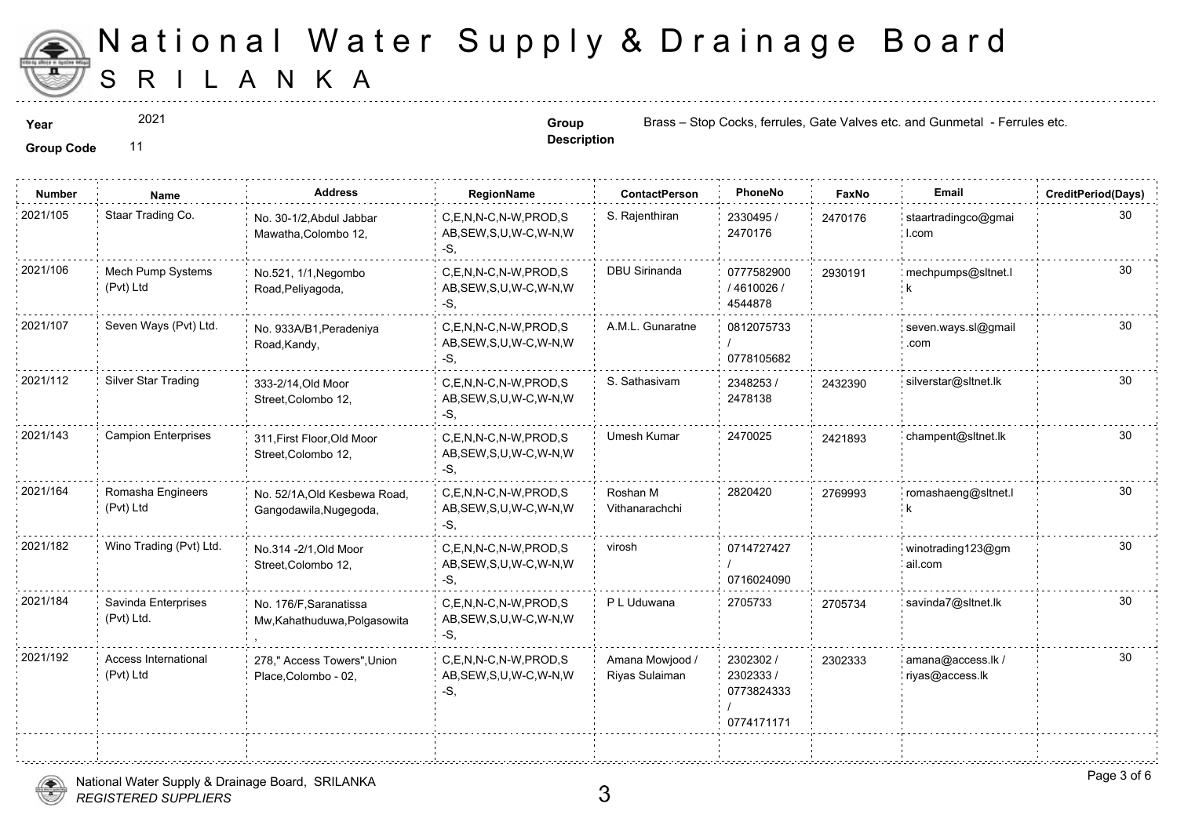

2021

**Description**

**Year Group Group** Brass – Stop Cocks, ferrules, Gate Values etc. and Gunmetal - Group Brass – Stop Cocks, ferrules, Gate Va

**Group Code** 11

| <b>Number</b> | Name                              | <b>Address</b>                                         | RegionName                                                   | <b>ContactPerson</b>              | PhoneNo                                            | Faxl   |
|---------------|-----------------------------------|--------------------------------------------------------|--------------------------------------------------------------|-----------------------------------|----------------------------------------------------|--------|
| 2021/105      | Staar Trading Co.                 | No. 30-1/2, Abdul Jabbar<br>Mawatha, Colombo 12,       | C,E,N,N-C,N-W,PROD,S<br>AB, SEW, S, U, W-C, W-N, W<br>$-S$ . | S. Rajenthiran                    | 2330495 /<br>2470176                               | 247017 |
| 2021/106      | Mech Pump Systems<br>(Pvt) Ltd    | No.521, 1/1, Negombo<br>Road, Peliyagoda,              | C,E,N,N-C,N-W,PROD,S<br>AB, SEW, S, U, W-C, W-N, W<br>-S.    | <b>DBU Sirinanda</b>              | 0777582900<br>/4610026/<br>4544878                 | 293019 |
| 2021/107      | Seven Ways (Pvt) Ltd.             | No. 933A/B1, Peradeniya<br>Road, Kandy,                | C.E.N.N-C.N-W.PROD.S<br>AB, SEW, S, U, W-C, W-N, W<br>-S.    | A.M.L. Gunaratne                  | 0812075733<br>0778105682                           |        |
| 2021/112      | Silver Star Trading               | 333-2/14, Old Moor<br>Street, Colombo 12,              | C.E.N.N-C.N-W.PROD.S<br>AB, SEW, S, U, W-C, W-N, W<br>-S.    | S. Sathasivam                     | 2348253 /<br>2478138                               | 243239 |
| 2021/143      | <b>Campion Enterprises</b>        | 311, First Floor, Old Moor<br>Street, Colombo 12,      | C,E,N,N-C,N-W,PROD,S<br>AB, SEW, S, U, W-C, W-N, W<br>-S.    | <b>Umesh Kumar</b>                | 2470025                                            | 242189 |
| 2021/164      | Romasha Engineers<br>(Pvt) Ltd    | No. 52/1A, Old Kesbewa Road,<br>Gangodawila, Nugegoda, | C,E,N,N-C,N-W,PROD,S<br>AB, SEW, S, U, W-C, W-N, W<br>-S.    | Roshan M<br>Vithanarachchi        | 2820420                                            | 276999 |
| 2021/182      | Wino Trading (Pvt) Ltd.           | No.314 - 2/1, Old Moor<br>Street, Colombo 12,          | C.E.N.N-C.N-W.PROD.S<br>AB, SEW, S, U, W-C, W-N, W<br>-S.    | virosh                            | 0714727427<br>0716024090                           |        |
| 2021/184      | Savinda Enterprises<br>(Pvt) Ltd. | No. 176/F, Saranatissa<br>Mw, Kahathuduwa, Polgasowita | C.E.N.N-C.N-W.PROD.S<br>AB, SEW, S, U, W-C, W-N, W<br>$-S$ . | P L Uduwana                       | 2705733                                            | 270573 |
| 2021/192      | Access International<br>(Pvt) Ltd | 278," Access Towers", Union<br>Place, Colombo - 02,    | C,E,N,N-C,N-W,PROD,S<br>AB, SEW, S, U, W-C, W-N, W<br>-S.    | Amana Mowjood /<br>Riyas Sulaiman | 2302302 /<br>2302333 /<br>0773824333<br>0774171171 | 230233 |
|               |                                   |                                                        |                                                              |                                   |                                                    |        |

*REGISTERED SUPPLIERS* National Water Supply & Drainage Board, SRILANKA

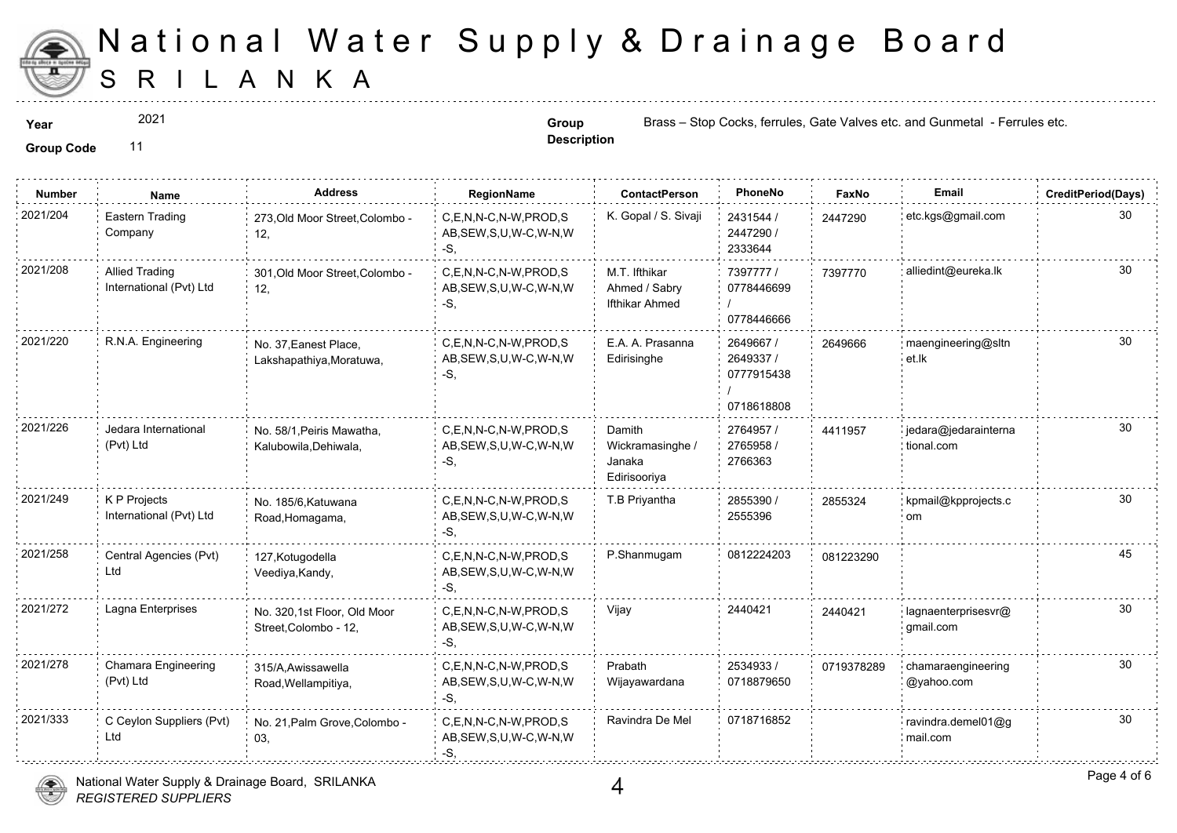

2021

**Description**

**Year Group Group** Brass – Stop Cocks, ferrules, Gate Values etc. and Gunmetal - Group Brass – Stop Cocks, ferrules, Gate Va

| <b>Number</b> | Name                                             | <b>Address</b>                                       | <b>RegionName</b>                                            | <b>ContactPerson</b>                                 | PhoneNo                                            | Faxl   |
|---------------|--------------------------------------------------|------------------------------------------------------|--------------------------------------------------------------|------------------------------------------------------|----------------------------------------------------|--------|
| 2021/204      | Eastern Trading<br>Company                       | 273, Old Moor Street, Colombo -<br>12,               | C,E,N,N-C,N-W,PROD,S<br>AB, SEW, S, U, W-C, W-N, W<br>-S,    | K. Gopal / S. Sivaji                                 | 2431544 /<br>2447290 /<br>2333644                  | 244729 |
| 2021/208      | <b>Allied Trading</b><br>International (Pvt) Ltd | 301, Old Moor Street, Colombo -<br>12,               | C,E,N,N-C,N-W,PROD,S<br>AB, SEW, S, U, W-C, W-N, W<br>-S,    | M.T. Ifthikar<br>Ahmed / Sabry<br>Ifthikar Ahmed     | 7397777 /<br>0778446699<br>0778446666              | 739777 |
| 2021/220      | R.N.A. Engineering                               | No. 37, Eanest Place,<br>Lakshapathiya, Moratuwa,    | C,E,N,N-C,N-W,PROD,S<br>AB, SEW, S, U, W-C, W-N, W<br>-S.    | E.A. A. Prasanna<br>Edirisinghe                      | 2649667 /<br>2649337 /<br>0777915438<br>0718618808 | 264966 |
| 2021/226      | Jedara International<br>(Pvt) Ltd                | No. 58/1, Peiris Mawatha,<br>Kalubowila, Dehiwala,   | C,E,N,N-C,N-W,PROD,S<br>AB, SEW, S, U, W-C, W-N, W<br>-S.    | Damith<br>Wickramasinghe /<br>Janaka<br>Edirisooriya | 2764957 /<br>2765958 /<br>2766363                  | 441195 |
| 2021/249      | K P Projects<br>International (Pvt) Ltd          | No. 185/6, Katuwana<br>Road, Homagama,               | C.E.N.N-C.N-W.PROD.S<br>AB, SEW, S, U, W-C, W-N, W<br>$-S$ . | T.B Priyantha                                        | 2855390 /<br>2555396                               | 285532 |
| 2021/258      | Central Agencies (Pvt)<br>Ltd                    | 127, Kotugodella<br>Veediya, Kandy,                  | C.E.N.N-C.N-W.PROD.S<br>AB, SEW, S, U, W-C, W-N, W<br>-S.    | P.Shanmugam                                          | 0812224203                                         | 081223 |
| 2021/272      | Lagna Enterprises                                | No. 320,1st Floor, Old Moor<br>Street, Colombo - 12, | C,E,N,N-C,N-W,PROD,S<br>AB, SEW, S, U, W-C, W-N, W<br>-S.    | Vijay                                                | 2440421                                            | 244042 |
| 2021/278      | Chamara Engineering<br>(Pvt) Ltd                 | 315/A, Awissawella<br>Road, Wellampitiya,            | C,E,N,N-C,N-W,PROD,S<br>AB, SEW, S, U, W-C, W-N, W<br>-S.    | Prabath<br>Wijayawardana                             | 2534933 /<br>0718879650                            | 071937 |
| 2021/333      | C Ceylon Suppliers (Pvt)<br>Ltd                  | No. 21, Palm Grove, Colombo -<br>03,                 | C,E,N,N-C,N-W,PROD,S<br>AB, SEW, S, U, W-C, W-N, W<br>-S.    | Ravindra De Mel                                      | 0718716852                                         |        |

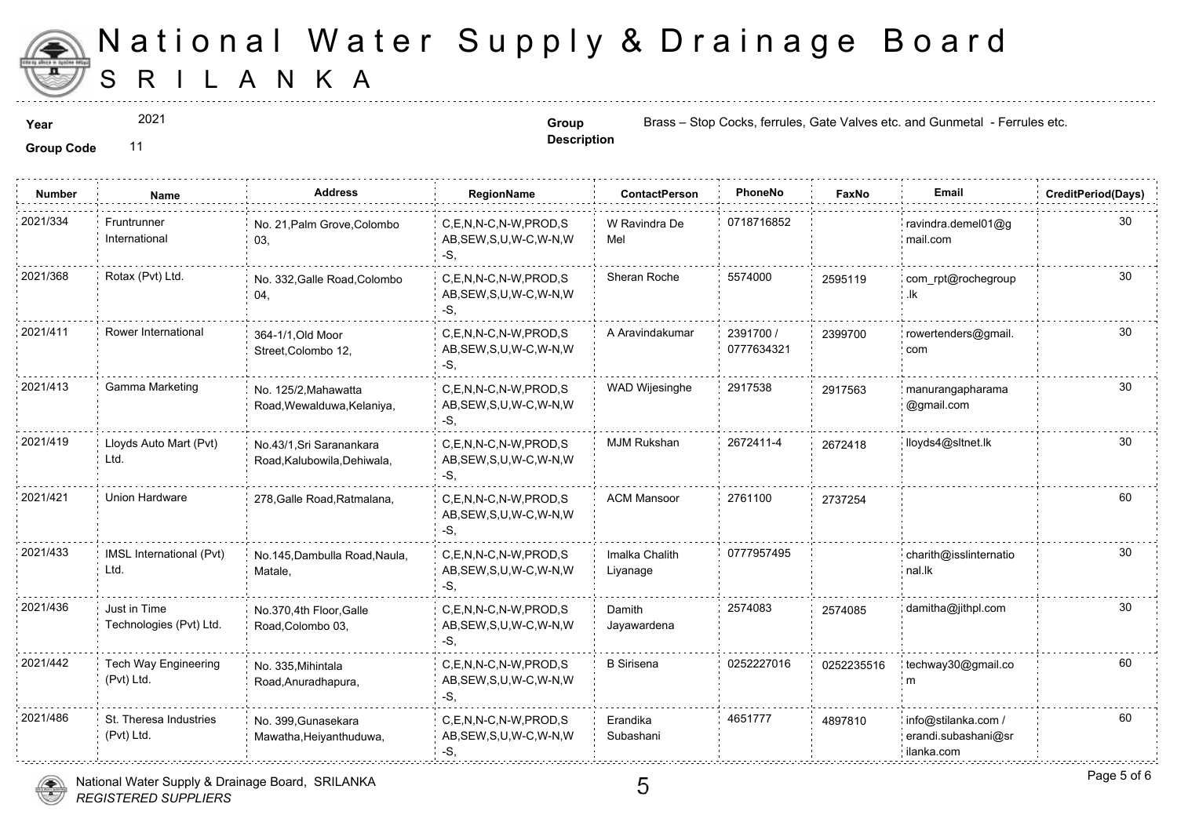

2021

**Description**

**Year Group Group** Brass – Stop Cocks, ferrules, Gate Values etc. and Gunmetal - Group Brass – Stop Cocks, ferrules, Gate Va

| <b>Number</b> | <b>Name</b>                             | <b>Address</b>                                          | <b>RegionName</b>                                            | <b>ContactPerson</b>       | PhoneNo                 | Faxl   |
|---------------|-----------------------------------------|---------------------------------------------------------|--------------------------------------------------------------|----------------------------|-------------------------|--------|
| 2021/334      | Fruntrunner<br>International            | No. 21, Palm Grove, Colombo<br>03,                      | C,E,N,N-C,N-W,PROD,S<br>AB, SEW, S, U, W-C, W-N, W<br>$-S$ . | W Ravindra De<br>Mel       | 0718716852              |        |
| 2021/368      | Rotax (Pvt) Ltd.                        | No. 332, Galle Road, Colombo<br>04,                     | C,E,N,N-C,N-W,PROD,S<br>AB, SEW, S, U, W-C, W-N, W<br>$-S.$  | Sheran Roche               | 5574000                 | 25951  |
| 2021/411      | Rower International                     | 364-1/1, Old Moor<br>Street, Colombo 12,                | C.E.N.N-C.N-W.PROD.S<br>AB, SEW, S, U, W-C, W-N, W<br>-S.    | A Aravindakumar            | 2391700 /<br>0777634321 | 239970 |
| 2021/413      | Gamma Marketing                         | No. 125/2, Mahawatta<br>Road, Wewalduwa, Kelaniya,      | C,E,N,N-C,N-W,PROD,S<br>AB, SEW, S, U, W-C, W-N, W<br>-S.    | WAD Wijesinghe             | 2917538                 | 291756 |
| 2021/419      | Lloyds Auto Mart (Pvt)<br>Ltd.          | No.43/1, Sri Saranankara<br>Road, Kalubowila, Dehiwala, | C.E.N.N-C.N-W.PROD.S<br>AB, SEW, S, U, W-C, W-N, W<br>$-S$ . | <b>MJM Rukshan</b>         | 2672411-4               | 267241 |
| 2021/421      | Union Hardware                          | 278, Galle Road, Ratmalana,                             | C.E.N.N-C.N-W.PROD.S<br>AB, SEW, S, U, W-C, W-N, W<br>-S.    | <b>ACM Mansoor</b>         | 2761100                 | 273725 |
| 2021/433      | IMSL International (Pvt)<br>Ltd.        | No.145, Dambulla Road, Naula,<br>Matale,                | C,E,N,N-C,N-W,PROD,S<br>AB, SEW, S, U, W-C, W-N, W<br>-S.    | Imalka Chalith<br>Liyanage | 0777957495              |        |
| 2021/436      | Just in Time<br>Technologies (Pvt) Ltd. | No.370,4th Floor, Galle<br>Road, Colombo 03,            | C,E,N,N-C,N-W,PROD,S<br>AB, SEW, S, U, W-C, W-N, W<br>$-S$ . | Damith<br>Jayawardena      | 2574083                 | 257408 |
| 2021/442      | Tech Way Engineering<br>(Pvt) Ltd.      | No. 335, Mihintala<br>Road, Anuradhapura,               | C.E.N.N-C.N-W.PROD.S<br>AB, SEW, S, U, W-C, W-N, W<br>$-S$ . | <b>B</b> Sirisena          | 0252227016              | 025223 |
| 2021/486      | St. Theresa Industries<br>(Pvt) Ltd.    | No. 399, Gunasekara<br>Mawatha, Heiyanthuduwa,          | C,E,N,N-C,N-W,PROD,S<br>AB, SEW, S, U, W-C, W-N, W<br>$-S$ . | Erandika<br>Subashani      | 4651777                 | 489781 |